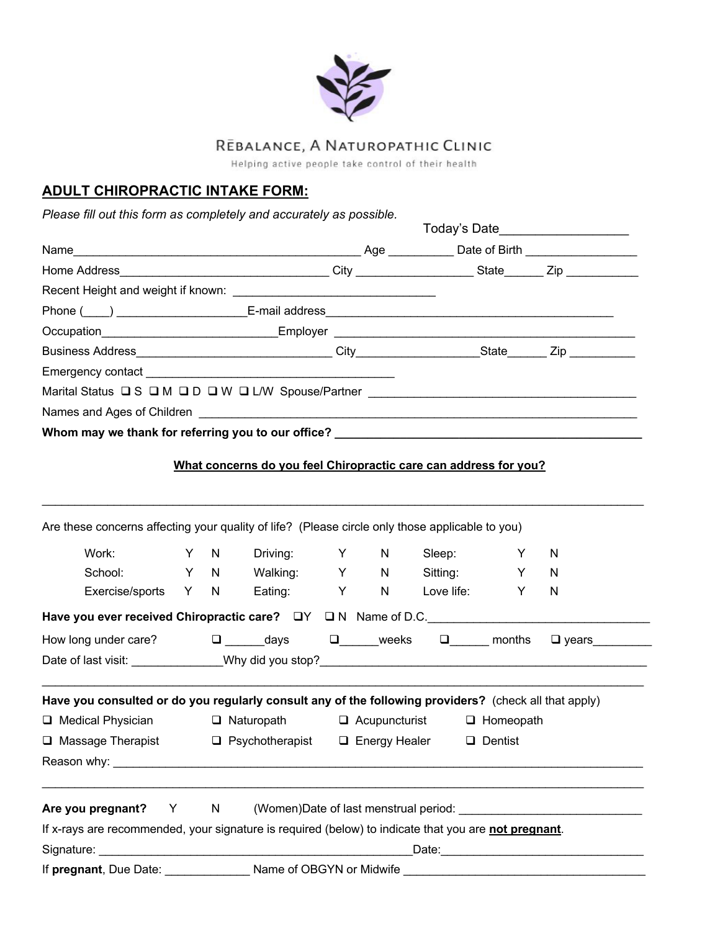

# REBALANCE, A NATUROPATHIC CLINIC

Helping active people take control of their health

# **ADULT CHIROPRACTIC INTAKE FORM:**

*Please fill out this form as completely and accurately as possible.* 

|                                                                                  | Today's Date_____________________ |  |  |  |  |  |
|----------------------------------------------------------------------------------|-----------------------------------|--|--|--|--|--|
|                                                                                  |                                   |  |  |  |  |  |
|                                                                                  |                                   |  |  |  |  |  |
|                                                                                  |                                   |  |  |  |  |  |
|                                                                                  |                                   |  |  |  |  |  |
|                                                                                  |                                   |  |  |  |  |  |
|                                                                                  |                                   |  |  |  |  |  |
|                                                                                  |                                   |  |  |  |  |  |
| Marital Status $\Box$ S $\Box$ M $\Box$ D $\Box$ W $\Box$ L/W Spouse/Partner     |                                   |  |  |  |  |  |
|                                                                                  |                                   |  |  |  |  |  |
| Whom may we thank for referring you to our office? _____________________________ |                                   |  |  |  |  |  |

## **What concerns do you feel Chiropractic care can address for you?**

\_\_\_\_\_\_\_\_\_\_\_\_\_\_\_\_\_\_\_\_\_\_\_\_\_\_\_\_\_\_\_\_\_\_\_\_\_\_\_\_\_\_\_\_\_\_\_\_\_\_\_\_\_\_\_\_\_\_\_\_\_\_\_\_\_\_\_\_\_\_\_\_\_\_\_\_\_\_\_\_\_\_\_\_\_\_\_\_\_\_\_\_

|  | Are these concerns affecting your quality of life? (Please circle only those applicable to you)                                                                                                                                |  |     |                  |   |              |                                                                                                                |              |              |
|--|--------------------------------------------------------------------------------------------------------------------------------------------------------------------------------------------------------------------------------|--|-----|------------------|---|--------------|----------------------------------------------------------------------------------------------------------------|--------------|--------------|
|  | Work: when the control of the control of the control of the control of the control of the control of the control of the control of the control of the control of the control of the control of the control of the control of t |  | Y N | Driving: Y N     |   |              | Sleep: will be a set of the set of the set of the set of the set of the set of the set of the set of the set o | Y            | N            |
|  | School:                                                                                                                                                                                                                        |  |     | Y N Walking: Y N |   |              |                                                                                                                | Sitting: Y N |              |
|  | Exercise/sports Y N Eating:                                                                                                                                                                                                    |  |     |                  | Y | $\mathsf{N}$ | Love life:                                                                                                     | Y            | N            |
|  | Have you ever received Chiropractic care? $\Box Y$ $\Box N$ Name of D.C.                                                                                                                                                       |  |     |                  |   |              |                                                                                                                |              |              |
|  | How long under care? $\square$ days $\square$ weeks $\square$ months                                                                                                                                                           |  |     |                  |   |              |                                                                                                                |              | $\Box$ years |
|  |                                                                                                                                                                                                                                |  |     |                  |   |              |                                                                                                                |              |              |
|  |                                                                                                                                                                                                                                |  |     |                  |   |              |                                                                                                                |              |              |
|  | Have you consulted or do you regularly consult any of the following providers? (check all that apply)                                                                                                                          |  |     |                  |   |              |                                                                                                                |              |              |
|  | □ Medical Physician □ Naturopath □ Acupuncturist □ Homeopath                                                                                                                                                                   |  |     |                  |   |              |                                                                                                                |              |              |
|  | □ Massage Therapist □ Psychotherapist □ Energy Healer □ Dentist                                                                                                                                                                |  |     |                  |   |              |                                                                                                                |              |              |
|  |                                                                                                                                                                                                                                |  |     |                  |   |              |                                                                                                                |              |              |
|  |                                                                                                                                                                                                                                |  |     |                  |   |              |                                                                                                                |              |              |
|  | Are you pregnant? Y N (Women)Date of last menstrual period: _____________________                                                                                                                                              |  |     |                  |   |              |                                                                                                                |              |              |
|  | If x-rays are recommended, your signature is required (below) to indicate that you are not pregnant.                                                                                                                           |  |     |                  |   |              |                                                                                                                |              |              |
|  |                                                                                                                                                                                                                                |  |     |                  |   |              |                                                                                                                |              |              |
|  |                                                                                                                                                                                                                                |  |     |                  |   |              |                                                                                                                |              |              |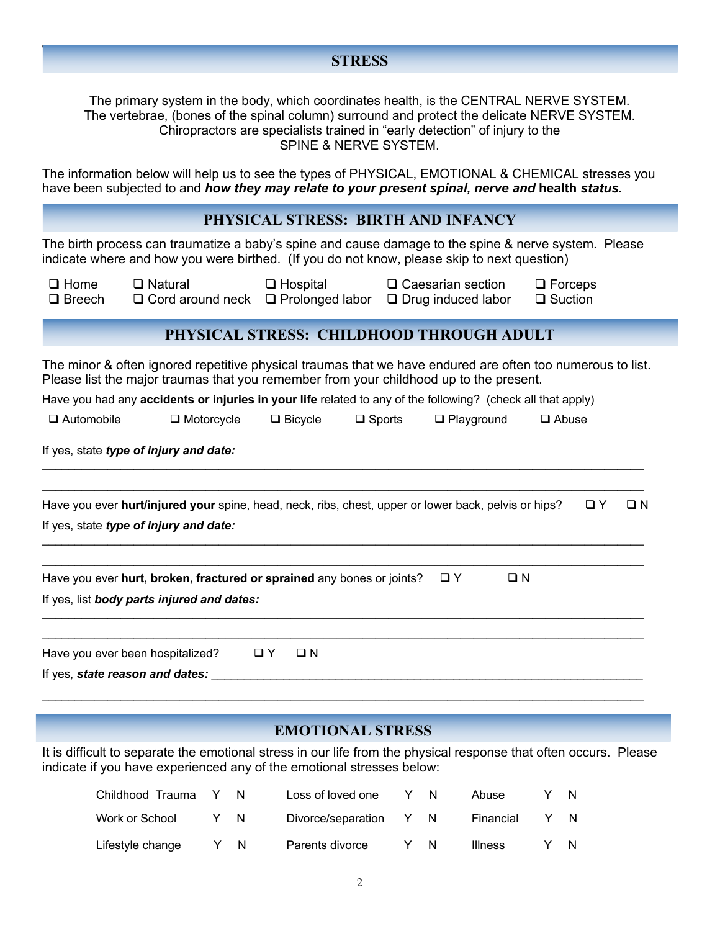#### Where will you be birthing you be birthing  $\mathcal{H}$  Hospital q Home q  $\mathcal{H}$  and  $\mathcal{H}$ **STRESS**

The primary system in the body, which coordinates health, is the CENTRAL NERVE SYSTEM. The vertebrae, (bones of the spinal column) surround and protect the delicate NERVE SYSTEM. Chiropractors are specialists trained in "early detection" of injury to the SPINE & NERVE SYSTEM.

The information below will help us to see the types of PHYSICAL, EMOTIONAL & CHEMICAL stresses you have been subjected to and *how they may relate to your present spinal, nerve and* **health** *status.*

### **PHYSICAL STRESS: BIRTH AND INFANCY**

The birth process can traumatize a baby's spine and cause damage to the spine & nerve system. Please indicate where and how you were birthed. (If you do not know, please skip to next question)

 $\Box$  Breech  $\Box$  Cord around neck  $\Box$  Prolonged labor  $\Box$  Drug induced labor  $\Box$  Suction

**Q Home** Q Natural Q Hospital Q Caesarian section Q Forceps

## **PHYSICAL STRESS: CHILDHOOD THROUGH ADULT**

The minor & often ignored repetitive physical traumas that we have endured are often too numerous to list. Please list the major traumas that you remember from your childhood up to the present.

Have you had any **accidents or injuries in your life** related to any of the following? (check all that apply)

| $\Box$ Automobile | <b>コ</b> Motorcvcle | $\Box$ Bicycle | $\square$ Sports | $\Box$ Playground | $\square$ Abuse |
|-------------------|---------------------|----------------|------------------|-------------------|-----------------|
|                   |                     |                |                  |                   |                 |

If yes, state *type of injury and date:*

| Have you ever <b>hurt/injured your</b> spine, head, neck, ribs, chest, upper or lower back, pelvis or hips? | O Y | OΝ |
|-------------------------------------------------------------------------------------------------------------|-----|----|
| If yes, state type of injury and date:                                                                      |     |    |
|                                                                                                             |     |    |

\_\_\_\_\_\_\_\_\_\_\_\_\_\_\_\_\_\_\_\_\_\_\_\_\_\_\_\_\_\_\_\_\_\_\_\_\_\_\_\_\_\_\_\_\_\_\_\_\_\_\_\_\_\_\_\_\_\_\_\_\_\_\_\_\_\_\_\_\_\_\_\_\_\_\_\_\_\_\_\_\_\_\_\_\_\_\_\_\_\_\_\_

 $\mathcal{L}_\mathcal{L} = \mathcal{L}_\mathcal{L} = \mathcal{L}_\mathcal{L} = \mathcal{L}_\mathcal{L} = \mathcal{L}_\mathcal{L} = \mathcal{L}_\mathcal{L} = \mathcal{L}_\mathcal{L} = \mathcal{L}_\mathcal{L} = \mathcal{L}_\mathcal{L} = \mathcal{L}_\mathcal{L} = \mathcal{L}_\mathcal{L} = \mathcal{L}_\mathcal{L} = \mathcal{L}_\mathcal{L} = \mathcal{L}_\mathcal{L} = \mathcal{L}_\mathcal{L} = \mathcal{L}_\mathcal{L} = \mathcal{L}_\mathcal{L}$ \_\_\_\_\_\_\_\_\_\_\_\_\_\_\_\_\_\_\_\_\_\_\_\_\_\_\_\_\_\_\_\_\_\_\_\_\_\_\_\_\_\_\_\_\_\_\_\_\_\_\_\_\_\_\_\_\_\_\_\_\_\_\_\_\_\_\_\_\_\_\_\_\_\_\_\_\_\_\_\_\_\_\_\_\_\_\_\_\_\_\_\_

 $\mathcal{L}_\mathcal{L} = \mathcal{L}_\mathcal{L} = \mathcal{L}_\mathcal{L} = \mathcal{L}_\mathcal{L} = \mathcal{L}_\mathcal{L} = \mathcal{L}_\mathcal{L} = \mathcal{L}_\mathcal{L} = \mathcal{L}_\mathcal{L} = \mathcal{L}_\mathcal{L} = \mathcal{L}_\mathcal{L} = \mathcal{L}_\mathcal{L} = \mathcal{L}_\mathcal{L} = \mathcal{L}_\mathcal{L} = \mathcal{L}_\mathcal{L} = \mathcal{L}_\mathcal{L} = \mathcal{L}_\mathcal{L} = \mathcal{L}_\mathcal{L}$ 

\_\_\_\_\_\_\_\_\_\_\_\_\_\_\_\_\_\_\_\_\_\_\_\_\_\_\_\_\_\_\_\_\_\_\_\_\_\_\_\_\_\_\_\_\_\_\_\_\_\_\_\_\_\_\_\_\_\_\_\_\_\_\_\_\_\_\_\_\_\_\_\_\_\_\_\_\_\_\_\_\_\_\_\_\_\_\_\_\_\_\_\_

Have you ever **hurt, broken, fractured or sprained** any bones or joints?  $\Box$  Y  $\Box$  N If yes, list *body parts injured and dates:*

| Have you ever been hospitalized? | $\Box$ Y |  |
|----------------------------------|----------|--|
| If yes, state reason and dates:  |          |  |

## **EMOTIONAL STRESS**

It is difficult to separate the emotional stress in our life from the physical response that often occurs. Please indicate if you have experienced any of the emotional stresses below:

| Childhood Trauma | N   | Loss of loved one      | Y  | N  | Abuse          |  |
|------------------|-----|------------------------|----|----|----------------|--|
| Work or School   | Y N | Divorce/separation Y N |    |    | Financial      |  |
| Lifestyle change | N   | Parents divorce        | Y. | N. | <b>Illness</b> |  |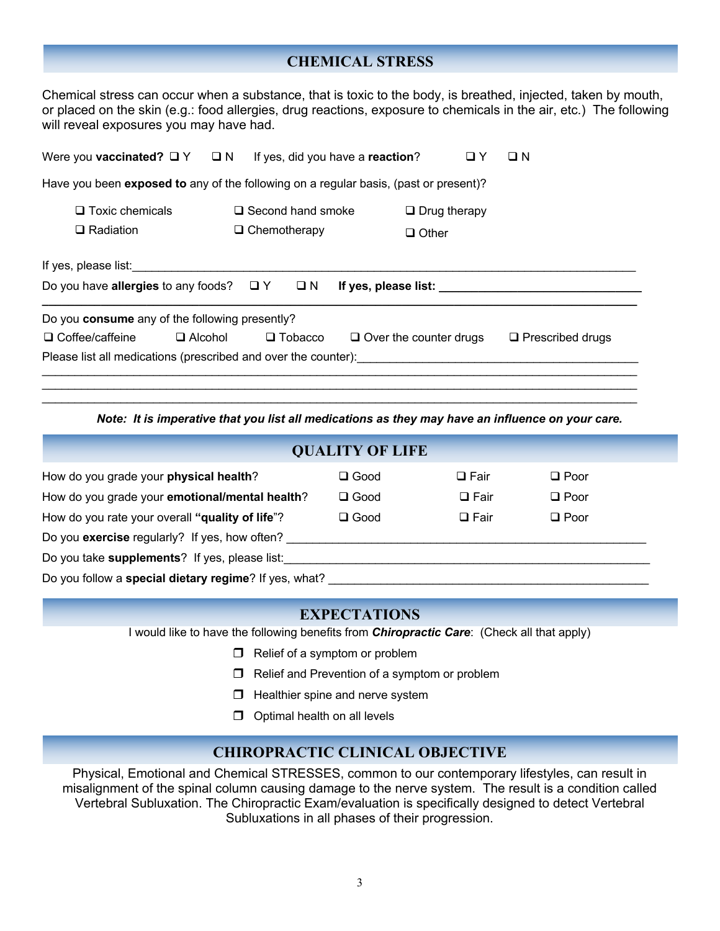## **CHEMICAL STRESS**

Chemical stress can occur when a substance, that is toxic to the body, is breathed, injected, taken by mouth, or placed on the skin (e.g.: food allergies, drug reactions, exposure to chemicals in the air, etc.) The following will reveal exposures you may have had.

| Were you <b>vaccinated?</b> $\Box$ Y $\Box$ N                                                                        |                                                 | If yes, did you have a reaction?    | $\Box$ Y | O N                     |  |  |  |  |  |
|----------------------------------------------------------------------------------------------------------------------|-------------------------------------------------|-------------------------------------|----------|-------------------------|--|--|--|--|--|
| Have you been <b>exposed to</b> any of the following on a regular basis, (past or present)?                          |                                                 |                                     |          |                         |  |  |  |  |  |
| $\Box$ Toxic chemicals<br>$\Box$ Radiation                                                                           | $\Box$ Second hand smoke<br>$\Box$ Chemotherapy | $\Box$ Drug therapy<br>$\Box$ Other |          |                         |  |  |  |  |  |
| If yes, please list:<br>Do you have allergies to any foods? $\Box Y$ $\Box N$<br>If yes, please list: $\blacksquare$ |                                                 |                                     |          |                         |  |  |  |  |  |
| Do you consume any of the following presently?                                                                       |                                                 |                                     |          |                         |  |  |  |  |  |
| $\Box$ Coffee/caffeine                                                                                               | $\Box$ Alcohol<br>$\Box$ Tobacco                | $\Box$ Over the counter drugs       |          | $\Box$ Prescribed drugs |  |  |  |  |  |
| Please list all medications (prescribed and over the counter):                                                       |                                                 |                                     |          |                         |  |  |  |  |  |

*Note: It is imperative that you list all medications as they may have an influence on your care.*

\_\_\_\_\_\_\_\_\_\_\_\_\_\_\_\_\_\_\_\_\_\_\_\_\_\_\_\_\_\_\_\_\_\_\_\_\_\_\_\_\_\_\_\_\_\_\_\_\_\_\_\_\_\_\_\_\_\_\_\_\_\_\_\_\_\_\_\_\_\_\_\_\_\_\_\_\_\_\_\_\_\_\_\_\_\_\_\_\_\_\_

|                                                       | <b>QUALITY OF LIFE</b> |             |             |  |  |  |
|-------------------------------------------------------|------------------------|-------------|-------------|--|--|--|
| How do you grade your physical health?                | $\square$ Good         | $\Box$ Fair | $\Box$ Poor |  |  |  |
| How do you grade your emotional/mental health?        | $\square$ Good         | $\Box$ Fair | $\Box$ Poor |  |  |  |
| How do you rate your overall "quality of life"?       | $\square$ Good         | $\Box$ Fair | $\Box$ Poor |  |  |  |
| Do you exercise regularly? If yes, how often?         |                        |             |             |  |  |  |
| Do you take supplements? If yes, please list:         |                        |             |             |  |  |  |
| Do you follow a special dietary regime? If yes, what? |                        |             |             |  |  |  |

#### **EXPECTATIONS**

I would like to have the following benefits from *Chiropractic Care*: (Check all that apply)

- $\Box$  Relief of a symptom or problem
- $\Box$  Relief and Prevention of a symptom or problem
- $\Box$  Healthier spine and nerve system
- $\Box$  Optimal health on all levels

## **CHIROPRACTIC CLINICAL OBJECTIVE**

Physical, Emotional and Chemical STRESSES, common to our contemporary lifestyles, can result in misalignment of the spinal column causing damage to the nerve system. The result is a condition called Vertebral Subluxation. The Chiropractic Exam/evaluation is specifically designed to detect Vertebral Subluxations in all phases of their progression.